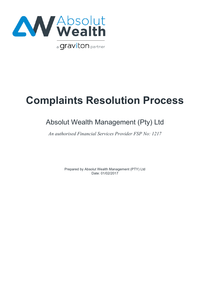

# **Complaints Resolution Process**

## Absolut Wealth Management (Pty) Ltd

*An authorised Financial Services Provider FSP No: 1217*

Prepared by Absolut Wealth Management (PTY) Ltd Date: 01/02/2017